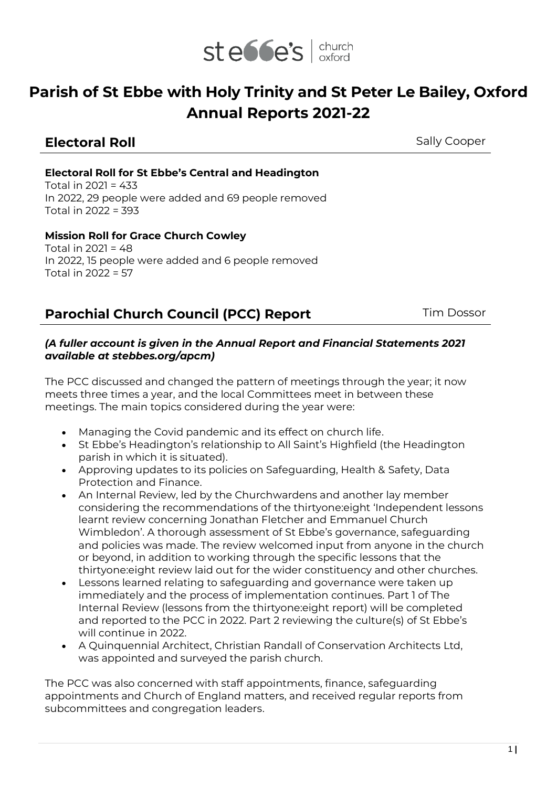

# **Parish of St Ebbe with Holy Trinity and St Peter Le Bailey, Oxford Annual Reports 2021-22**

## **Electoral Roll Electoral Roll** Sally Cooper

## **Electoral Roll for St Ebbe's Central and Headington**

Total in 2021 = 433 In 2022, 29 people were added and 69 people removed Total in 2022 = 393

### **Mission Roll for Grace Church Cowley**

Total in 2021 = 48 In 2022, 15 people were added and 6 people removed Total in  $2022 = 57$ 

## **Parochial Church Council (PCC) Report** Tim Dossor

#### *(A fuller account is given in the Annual Report and Financial Statements 2021 available at stebbes.org/apcm)*

The PCC discussed and changed the pattern of meetings through the year; it now meets three times a year, and the local Committees meet in between these meetings. The main topics considered during the year were:

- Managing the Covid pandemic and its effect on church life.
- St Ebbe's Headington's relationship to All Saint's Highfield (the Headington parish in which it is situated).
- Approving updates to its policies on Safeguarding, Health & Safety, Data Protection and Finance.
- An Internal Review, led by the Churchwardens and another lay member considering the recommendations of the thirtyone:eight 'Independent lessons learnt review concerning Jonathan Fletcher and Emmanuel Church Wimbledon'. A thorough assessment of St Ebbe's governance, safeguarding and policies was made. The review welcomed input from anyone in the church or beyond, in addition to working through the specific lessons that the thirtyone:eight review laid out for the wider constituency and other churches.
- Lessons learned relating to safeguarding and governance were taken up immediately and the process of implementation continues. Part 1 of The Internal Review (lessons from the thirtyone:eight report) will be completed and reported to the PCC in 2022. Part 2 reviewing the culture(s) of St Ebbe's will continue in 2022.
- A Quinquennial Architect, Christian Randall of Conservation Architects Ltd, was appointed and surveyed the parish church.

The PCC was also concerned with staff appointments, finance, safeguarding appointments and Church of England matters, and received regular reports from subcommittees and congregation leaders.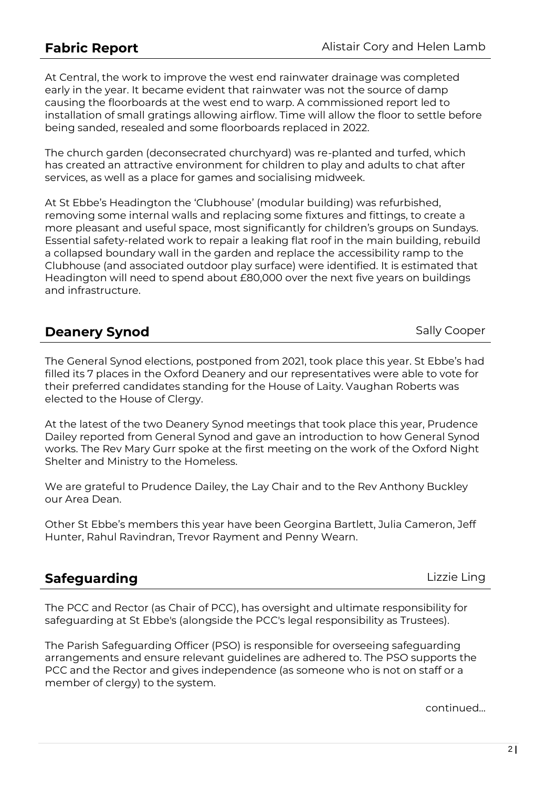At Central, the work to improve the west end rainwater drainage was completed early in the year. It became evident that rainwater was not the source of damp causing the floorboards at the west end to warp. A commissioned report led to installation of small gratings allowing airflow. Time will allow the floor to settle before being sanded, resealed and some floorboards replaced in 2022.

The church garden (deconsecrated churchyard) was re-planted and turfed, which has created an attractive environment for children to play and adults to chat after services, as well as a place for games and socialising midweek.

At St Ebbe's Headington the 'Clubhouse' (modular building) was refurbished, removing some internal walls and replacing some fixtures and fittings, to create a more pleasant and useful space, most significantly for children's groups on Sundays. Essential safety-related work to repair a leaking flat roof in the main building, rebuild a collapsed boundary wall in the garden and replace the accessibility ramp to the Clubhouse (and associated outdoor play surface) were identified. It is estimated that Headington will need to spend about £80,000 over the next five years on buildings and infrastructure.

| <b>Deanery Synod</b> |  |
|----------------------|--|
|                      |  |

**Sally Cooper** 

The General Synod elections, postponed from 2021, took place this year. St Ebbe's had filled its 7 places in the Oxford Deanery and our representatives were able to vote for their preferred candidates standing for the House of Laity. Vaughan Roberts was elected to the House of Clergy.

At the latest of the two Deanery Synod meetings that took place this year, Prudence Dailey reported from General Synod and gave an introduction to how General Synod works. The Rev Mary Gurr spoke at the first meeting on the work of the Oxford Night Shelter and Ministry to the Homeless.

We are grateful to Prudence Dailey, the Lay Chair and to the Rev Anthony Buckley our Area Dean.

Other St Ebbe's members this year have been Georgina Bartlett, Julia Cameron, Jeff Hunter, Rahul Ravindran, Trevor Rayment and Penny Wearn.

| <b>Safeguarding</b> |  |
|---------------------|--|

**Safeguarding** Lizzie Ling

The PCC and Rector (as Chair of PCC), has oversight and ultimate responsibility for safeguarding at St Ebbe's (alongside the PCC's legal responsibility as Trustees).

The Parish Safeguarding Officer (PSO) is responsible for overseeing safeguarding arrangements and ensure relevant guidelines are adhered to. The PSO supports the PCC and the Rector and gives independence (as someone who is not on staff or a member of clergy) to the system.

continued…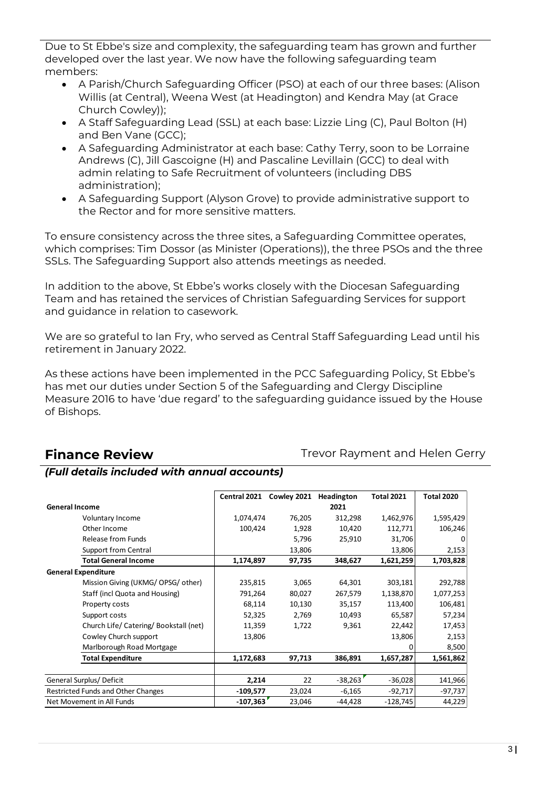Due to St Ebbe's size and complexity, the safeguarding team has grown and further developed over the last year. We now have the following safeguarding team members:

- A Parish/Church Safeguarding Officer (PSO) at each of our three bases: (Alison Willis (at Central), Weena West (at Headington) and Kendra May (at Grace Church Cowley));
- A Staff Safeguarding Lead (SSL) at each base: Lizzie Ling (C), Paul Bolton (H) and Ben Vane (GCC);
- A Safeguarding Administrator at each base: Cathy Terry, soon to be Lorraine Andrews (C), Jill Gascoigne (H) and Pascaline Levillain (GCC) to deal with admin relating to Safe Recruitment of volunteers (including DBS administration);
- A Safeguarding Support (Alyson Grove) to provide administrative support to the Rector and for more sensitive matters.

To ensure consistency across the three sites, a Safeguarding Committee operates, which comprises: Tim Dossor (as Minister (Operations)), the three PSOs and the three SSLs. The Safeguarding Support also attends meetings as needed.

In addition to the above, St Ebbe's works closely with the Diocesan Safeguarding Team and has retained the services of Christian Safeguarding Services for support and guidance in relation to casework.

We are so grateful to Ian Fry, who served as Central Staff Safeguarding Lead until his retirement in January 2022.

As these actions have been implemented in the PCC Safeguarding Policy, St Ebbe's has met our duties under Section 5 of the Safeguarding and Clergy Discipline Measure 2016 to have 'due regard' to the safeguarding guidance issued by the House of Bishops.

**Finance Review** Trevor Rayment and Helen Gerry

## *(Full details included with annual accounts)*

|                                        | Central 2021 | Cowley 2021 | Headington | <b>Total 2021</b> | <b>Total 2020</b> |
|----------------------------------------|--------------|-------------|------------|-------------------|-------------------|
| <b>General Income</b>                  |              |             | 2021       |                   |                   |
| Voluntary Income                       | 1,074,474    | 76,205      | 312,298    | 1,462,976         | 1,595,429         |
| Other Income                           | 100,424      | 1,928       | 10,420     | 112,771           | 106,246           |
| Release from Funds                     |              | 5,796       | 25,910     | 31,706            | O                 |
| Support from Central                   |              | 13,806      |            | 13,806            | 2,153             |
| <b>Total General Income</b>            | 1,174,897    | 97,735      | 348,627    | 1,621,259         | 1,703,828         |
| <b>General Expenditure</b>             |              |             |            |                   |                   |
| Mission Giving (UKMG/ OPSG/ other)     | 235,815      | 3,065       | 64,301     | 303,181           | 292,788           |
| Staff (incl Quota and Housing)         | 791,264      | 80,027      | 267,579    | 1,138,870         | 1,077,253         |
| Property costs                         | 68,114       | 10,130      | 35,157     | 113,400           | 106,481           |
| Support costs                          | 52,325       | 2,769       | 10,493     | 65,587            | 57,234            |
| Church Life/ Catering/ Bookstall (net) | 11,359       | 1,722       | 9,361      | 22,442            | 17,453            |
| Cowley Church support                  | 13,806       |             |            | 13,806            | 2,153             |
| Marlborough Road Mortgage              |              |             |            | O                 | 8,500             |
| <b>Total Expenditure</b>               | 1,172,683    | 97,713      | 386,891    | 1,657,287         | 1,561,862         |
|                                        |              |             |            |                   |                   |
| General Surplus/Deficit                | 2,214        | 22          | $-38,263$  | $-36,028$         | 141,966           |
| Restricted Funds and Other Changes     | $-109,577$   | 23,024      | $-6,165$   | $-92,717$         | $-97,737$         |
| Net Movement in All Funds              | $-107,363$   | 23,046      | $-44,428$  | $-128,745$        | 44,229            |